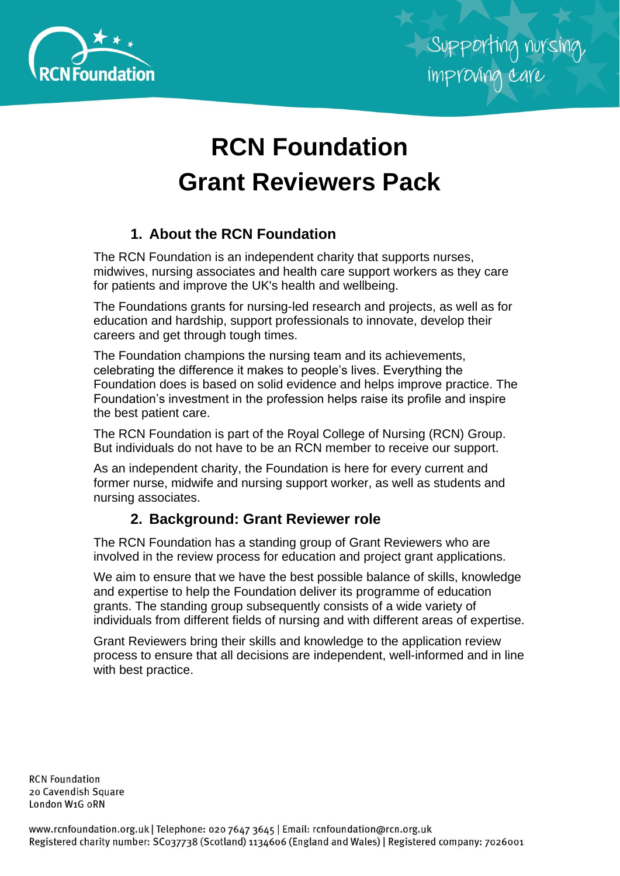

# **RCN Foundation Grant Reviewers Pack**

## **1. About the RCN Foundation**

The RCN Foundation is an independent charity that supports nurses, midwives, nursing associates and health care support workers as they care for patients and improve the UK's health and wellbeing.

The Foundations grants for nursing-led research and projects, as well as for education and hardship, support professionals to innovate, develop their careers and get through tough times.

The Foundation champions the nursing team and its achievements, celebrating the difference it makes to people's lives. Everything the Foundation does is based on solid evidence and helps improve practice. The Foundation's investment in the profession helps raise its profile and inspire the best patient care.

The RCN Foundation is part of the Royal College of Nursing (RCN) Group. But individuals do not have to be an RCN member to receive our support.

As an independent charity, the Foundation is here for every current and former nurse, midwife and nursing support worker, as well as students and nursing associates.

## **2. Background: Grant Reviewer role**

The RCN Foundation has a standing group of Grant Reviewers who are involved in the review process for education and project grant applications.

We aim to ensure that we have the best possible balance of skills, knowledge and expertise to help the Foundation deliver its programme of education grants. The standing group subsequently consists of a wide variety of individuals from different fields of nursing and with different areas of expertise.

Grant Reviewers bring their skills and knowledge to the application review process to ensure that all decisions are independent, well-informed and in line with best practice.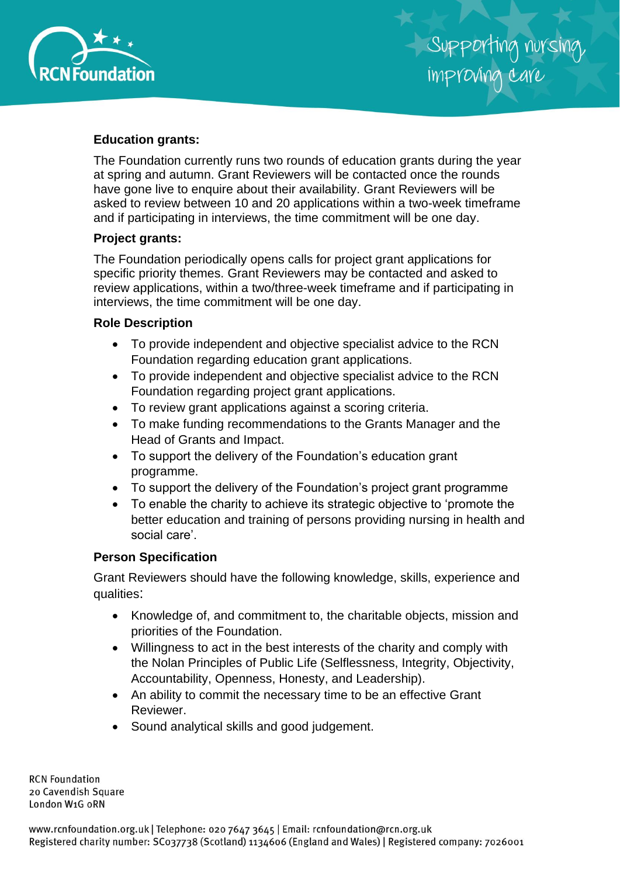

#### **Education grants:**

The Foundation currently runs two rounds of education grants during the year at spring and autumn. Grant Reviewers will be contacted once the rounds have gone live to enquire about their availability. Grant Reviewers will be asked to review between 10 and 20 applications within a two-week timeframe and if participating in interviews, the time commitment will be one day.

#### **Project grants:**

The Foundation periodically opens calls for project grant applications for specific priority themes. Grant Reviewers may be contacted and asked to review applications, within a two/three-week timeframe and if participating in interviews, the time commitment will be one day.

#### **Role Description**

- To provide independent and objective specialist advice to the RCN Foundation regarding education grant applications.
- To provide independent and objective specialist advice to the RCN Foundation regarding project grant applications.
- To review grant applications against a scoring criteria.
- To make funding recommendations to the Grants Manager and the Head of Grants and Impact.
- To support the delivery of the Foundation's education grant programme.
- To support the delivery of the Foundation's project grant programme
- To enable the charity to achieve its strategic objective to 'promote the better education and training of persons providing nursing in health and social care'.

#### **Person Specification**

Grant Reviewers should have the following knowledge, skills, experience and qualities:

- Knowledge of, and commitment to, the charitable objects, mission and priorities of the Foundation.
- Willingness to act in the best interests of the charity and comply with the Nolan Principles of Public Life (Selflessness, Integrity, Objectivity, Accountability, Openness, Honesty, and Leadership).
- An ability to commit the necessary time to be an effective Grant Reviewer.
- Sound analytical skills and good judgement.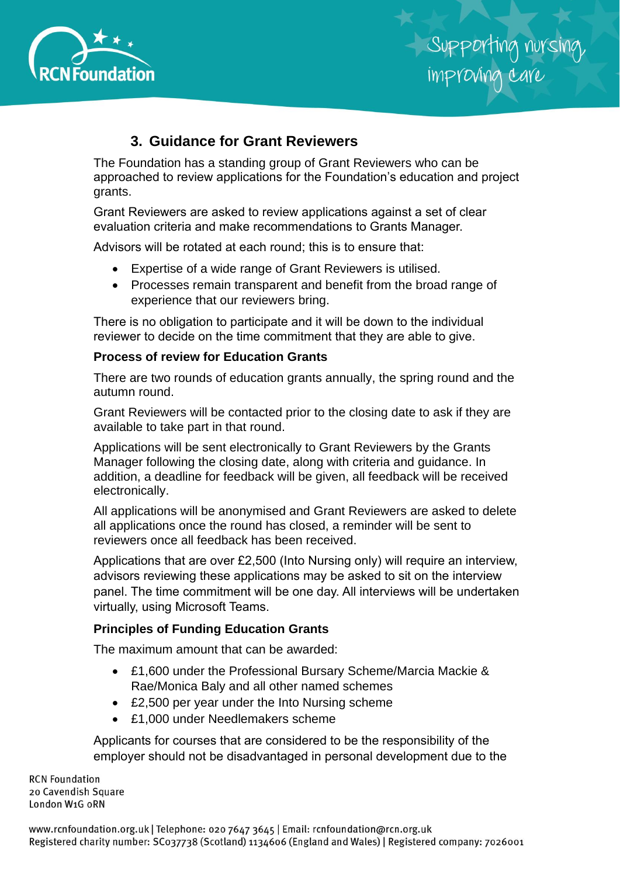

## **3. Guidance for Grant Reviewers**

The Foundation has a standing group of Grant Reviewers who can be approached to review applications for the Foundation's education and project grants.

Grant Reviewers are asked to review applications against a set of clear evaluation criteria and make recommendations to Grants Manager.

Advisors will be rotated at each round; this is to ensure that:

- Expertise of a wide range of Grant Reviewers is utilised.
- Processes remain transparent and benefit from the broad range of experience that our reviewers bring.

There is no obligation to participate and it will be down to the individual reviewer to decide on the time commitment that they are able to give.

#### **Process of review for Education Grants**

There are two rounds of education grants annually, the spring round and the autumn round.

Grant Reviewers will be contacted prior to the closing date to ask if they are available to take part in that round.

Applications will be sent electronically to Grant Reviewers by the Grants Manager following the closing date, along with criteria and guidance. In addition, a deadline for feedback will be given, all feedback will be received electronically.

All applications will be anonymised and Grant Reviewers are asked to delete all applications once the round has closed, a reminder will be sent to reviewers once all feedback has been received.

Applications that are over £2,500 (Into Nursing only) will require an interview, advisors reviewing these applications may be asked to sit on the interview panel. The time commitment will be one day. All interviews will be undertaken virtually, using Microsoft Teams.

#### **Principles of Funding Education Grants**

The maximum amount that can be awarded:

- £1,600 under the Professional Bursary Scheme/Marcia Mackie & Rae/Monica Baly and all other named schemes
- £2,500 per year under the Into Nursing scheme
- £1,000 under Needlemakers scheme

Applicants for courses that are considered to be the responsibility of the employer should not be disadvantaged in personal development due to the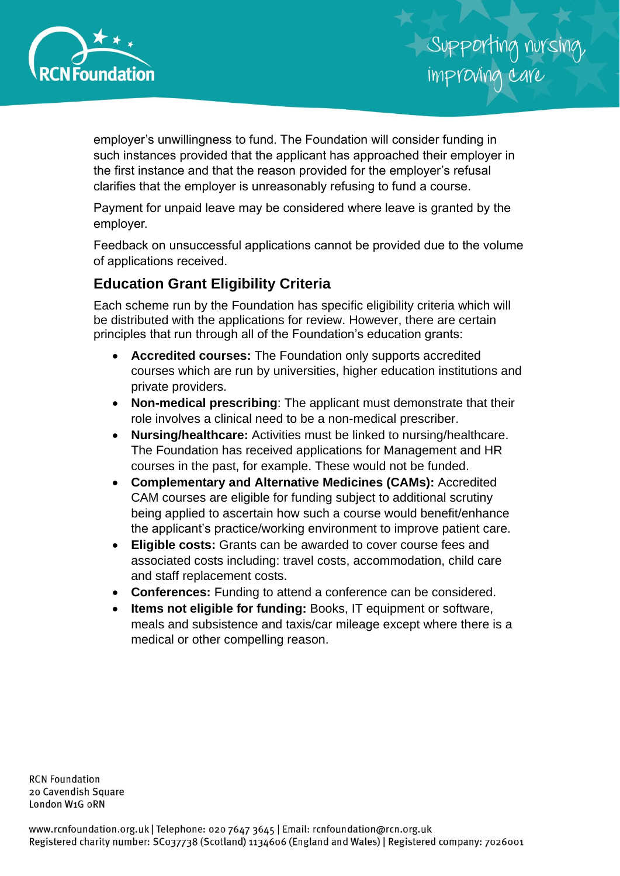

employer's unwillingness to fund. The Foundation will consider funding in such instances provided that the applicant has approached their employer in the first instance and that the reason provided for the employer's refusal clarifies that the employer is unreasonably refusing to fund a course.

Payment for unpaid leave may be considered where leave is granted by the employer.

Feedback on unsuccessful applications cannot be provided due to the volume of applications received.

## **Education Grant Eligibility Criteria**

Each scheme run by the Foundation has specific eligibility criteria which will be distributed with the applications for review. However, there are certain principles that run through all of the Foundation's education grants:

- **Accredited courses:** The Foundation only supports accredited courses which are run by universities, higher education institutions and private providers.
- **Non-medical prescribing**: The applicant must demonstrate that their role involves a clinical need to be a non-medical prescriber.
- **Nursing/healthcare:** Activities must be linked to nursing/healthcare. The Foundation has received applications for Management and HR courses in the past, for example. These would not be funded.
- **Complementary and Alternative Medicines (CAMs):** Accredited CAM courses are eligible for funding subject to additional scrutiny being applied to ascertain how such a course would benefit/enhance the applicant's practice/working environment to improve patient care.
- **Eligible costs:** Grants can be awarded to cover course fees and associated costs including: travel costs, accommodation, child care and staff replacement costs.
- **Conferences:** Funding to attend a conference can be considered.
- **Items not eligible for funding:** Books, IT equipment or software, meals and subsistence and taxis/car mileage except where there is a medical or other compelling reason.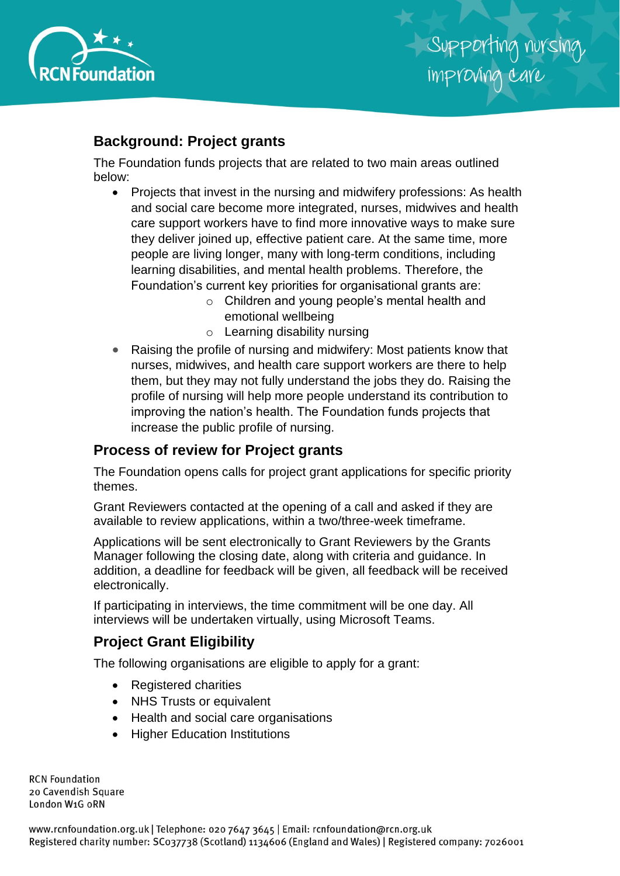

## **Background: Project grants**

The Foundation funds projects that are related to two main areas outlined below:

- Projects that invest in the nursing and midwifery professions: As health and social care become more integrated, nurses, midwives and health care support workers have to find more innovative ways to make sure they deliver joined up, effective patient care. At the same time, more people are living longer, many with long-term conditions, including learning disabilities, and mental health problems. Therefore, the Foundation's current key priorities for organisational grants are:
	- o Children and young people's mental health and emotional wellbeing
	- o Learning disability nursing
- Raising the profile of nursing and midwifery: Most patients know that nurses, midwives, and health care support workers are there to help them, but they may not fully understand the jobs they do. Raising the profile of nursing will help more people understand its contribution to improving the nation's health. The Foundation funds projects that increase the public profile of nursing.

## **Process of review for Project grants**

The Foundation opens calls for project grant applications for specific priority themes.

Grant Reviewers contacted at the opening of a call and asked if they are available to review applications, within a two/three-week timeframe.

Applications will be sent electronically to Grant Reviewers by the Grants Manager following the closing date, along with criteria and guidance. In addition, a deadline for feedback will be given, all feedback will be received electronically.

If participating in interviews, the time commitment will be one day. All interviews will be undertaken virtually, using Microsoft Teams.

## **Project Grant Eligibility**

The following organisations are eligible to apply for a grant:

- Registered charities
- NHS Trusts or equivalent
- Health and social care organisations
- Higher Education Institutions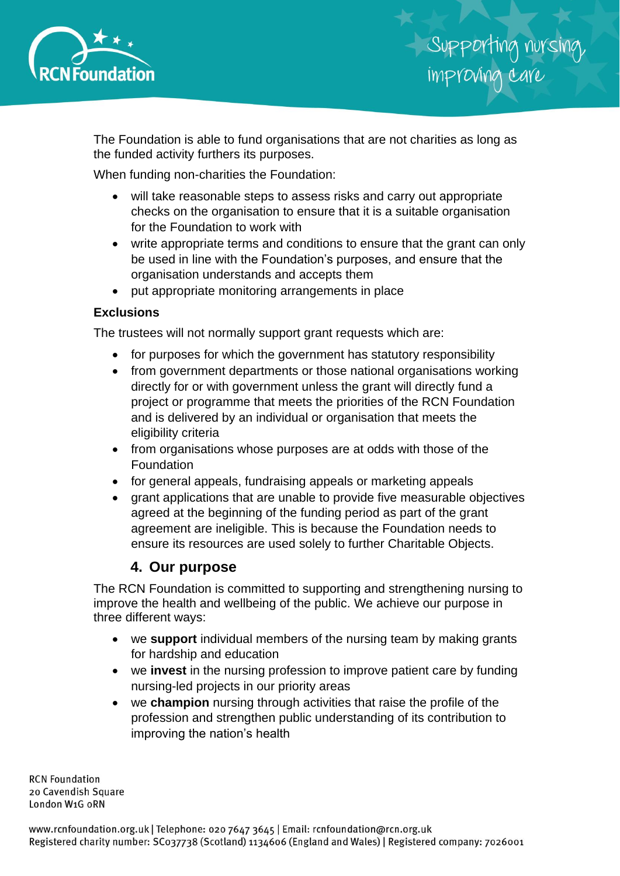

The Foundation is able to fund organisations that are not charities as long as the funded activity furthers its purposes.

When funding non-charities the Foundation:

- will take reasonable steps to assess risks and carry out appropriate checks on the organisation to ensure that it is a suitable organisation for the Foundation to work with
- write appropriate terms and conditions to ensure that the grant can only be used in line with the Foundation's purposes, and ensure that the organisation understands and accepts them
- put appropriate monitoring arrangements in place

#### **Exclusions**

The trustees will not normally support grant requests which are:

- for purposes for which the government has statutory responsibility
- from government departments or those national organisations working directly for or with government unless the grant will directly fund a project or programme that meets the priorities of the RCN Foundation and is delivered by an individual or organisation that meets the eligibility criteria
- from organisations whose purposes are at odds with those of the Foundation
- for general appeals, fundraising appeals or marketing appeals
- grant applications that are unable to provide five measurable objectives agreed at the beginning of the funding period as part of the grant agreement are ineligible. This is because the Foundation needs to ensure its resources are used solely to further Charitable Objects.

## **4. Our purpose**

The RCN Foundation is committed to supporting and strengthening nursing to improve the health and wellbeing of the public. We achieve our purpose in three different ways:

- we **support** individual members of the nursing team by making grants for hardship and education
- we **invest** in the nursing profession to improve patient care by funding nursing-led projects in our priority areas
- we **champion** nursing through activities that raise the profile of the profession and strengthen public understanding of its contribution to improving the nation's health